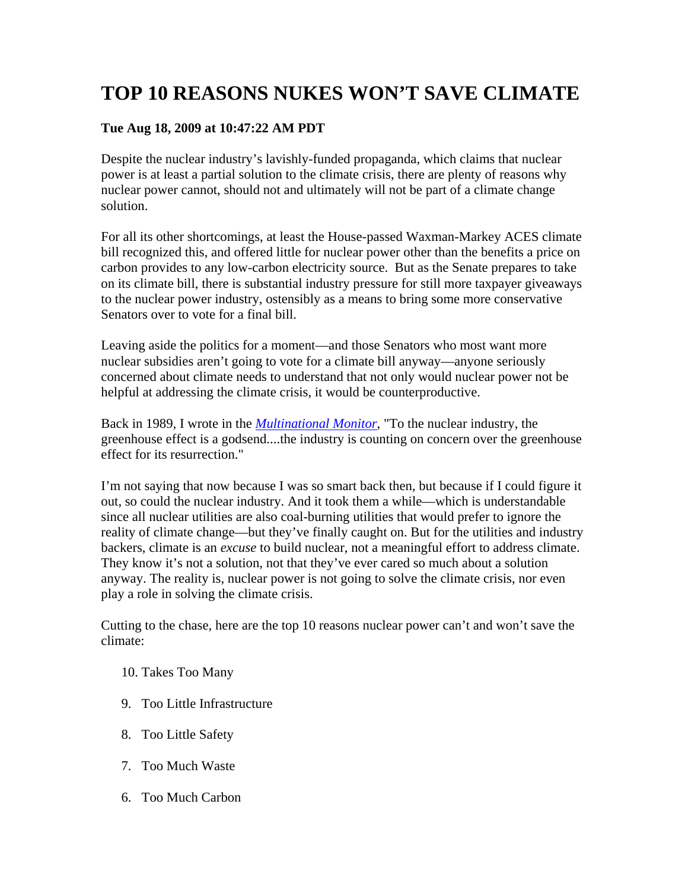# **TOP 10 REASONS NUKES WON'T SAVE CLIMATE**

# **Tue Aug 18, 2009 at 10:47:22 AM PDT**

Despite the nuclear industry's lavishly-funded propaganda, which claims that nuclear power is at least a partial solution to the climate crisis, there are plenty of reasons why nuclear power cannot, should not and ultimately will not be part of a climate change solution.

For all its other shortcomings, at least the House-passed Waxman-Markey ACES climate bill recognized this, and offered little for nuclear power other than the benefits a price on carbon provides to any low-carbon electricity source. But as the Senate prepares to take on its climate bill, there is substantial industry pressure for still more taxpayer giveaways to the nuclear power industry, ostensibly as a means to bring some more conservative Senators over to vote for a final bill.

Leaving aside the politics for a moment—and those Senators who most want more nuclear subsidies aren't going to vote for a climate bill anyway—anyone seriously concerned about climate needs to understand that not only would nuclear power not be helpful at addressing the climate crisis, it would be counterproductive.

Back in 1989, I wrote in the *Multinational Monitor*, "To the nuclear industry, the greenhouse effect is a godsend....the industry is counting on concern over the greenhouse effect for its resurrection."

I'm not saying that now because I was so smart back then, but because if I could figure it out, so could the nuclear industry. And it took them a while—which is understandable since all nuclear utilities are also coal-burning utilities that would prefer to ignore the reality of climate change—but they've finally caught on. But for the utilities and industry backers, climate is an *excuse* to build nuclear, not a meaningful effort to address climate. They know it's not a solution, not that they've ever cared so much about a solution anyway. The reality is, nuclear power is not going to solve the climate crisis, nor even play a role in solving the climate crisis.

Cutting to the chase, here are the top 10 reasons nuclear power can't and won't save the climate:

- 10. Takes Too Many
- 9. Too Little Infrastructure
- 8. Too Little Safety
- 7. Too Much Waste
- 6. Too Much Carbon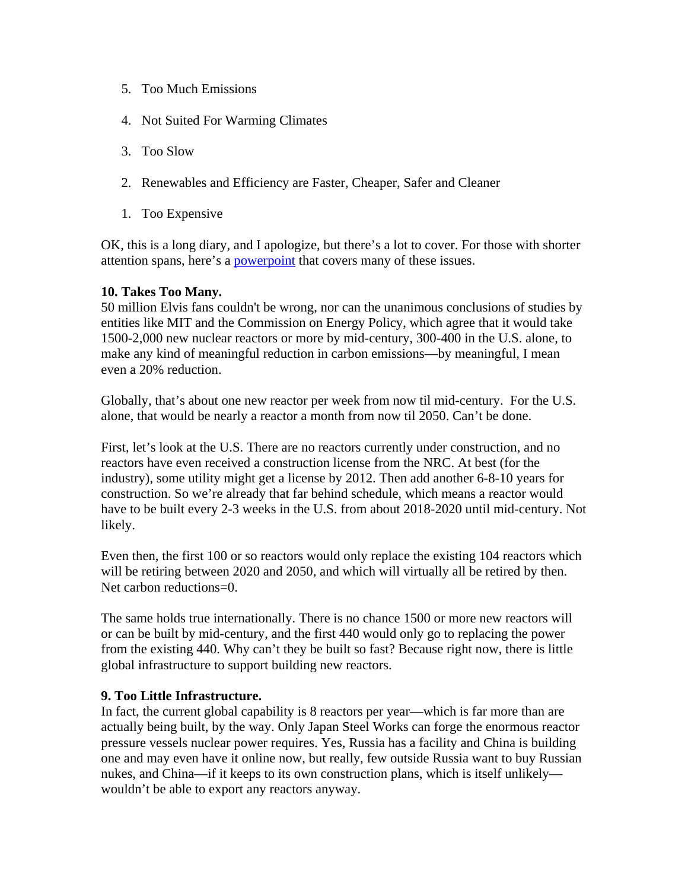- 5. Too Much Emissions
- 4. Not Suited For Warming Climates
- 3. Too Slow
- 2. Renewables and Efficiency are Faster, Cheaper, Safer and Cleaner
- 1. Too Expensive

OK, this is a long diary, and I apologize, but there's a lot to cover. For those with shorter attention spans, here's a powerpoint that covers many of these issues.

## **10. Takes Too Many.**

50 million Elvis fans couldn't be wrong, nor can the unanimous conclusions of studies by entities like MIT and the Commission on Energy Policy, which agree that it would take 1500-2,000 new nuclear reactors or more by mid-century, 300-400 in the U.S. alone, to make any kind of meaningful reduction in carbon emissions—by meaningful, I mean even a 20% reduction.

Globally, that's about one new reactor per week from now til mid-century. For the U.S. alone, that would be nearly a reactor a month from now til 2050. Can't be done.

First, let's look at the U.S. There are no reactors currently under construction, and no reactors have even received a construction license from the NRC. At best (for the industry), some utility might get a license by 2012. Then add another 6-8-10 years for construction. So we're already that far behind schedule, which means a reactor would have to be built every 2-3 weeks in the U.S. from about 2018-2020 until mid-century. Not likely.

Even then, the first 100 or so reactors would only replace the existing 104 reactors which will be retiring between 2020 and 2050, and which will virtually all be retired by then. Net carbon reductions=0.

The same holds true internationally. There is no chance 1500 or more new reactors will or can be built by mid-century, and the first 440 would only go to replacing the power from the existing 440. Why can't they be built so fast? Because right now, there is little global infrastructure to support building new reactors.

#### **9. Too Little Infrastructure.**

In fact, the current global capability is 8 reactors per year—which is far more than are actually being built, by the way. Only Japan Steel Works can forge the enormous reactor pressure vessels nuclear power requires. Yes, Russia has a facility and China is building one and may even have it online now, but really, few outside Russia want to buy Russian nukes, and China—if it keeps to its own construction plans, which is itself unlikely wouldn't be able to export any reactors anyway.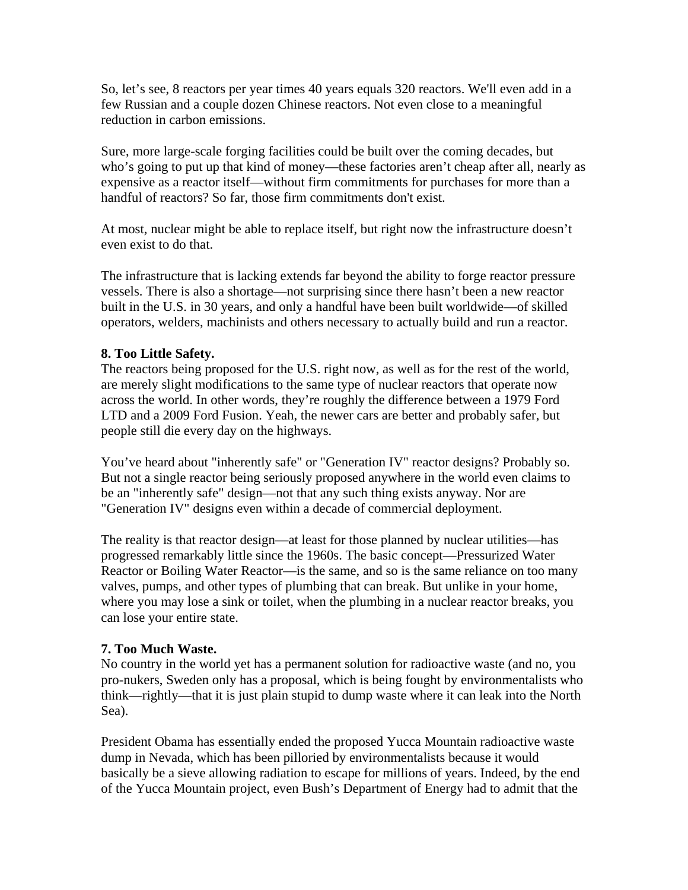So, let's see, 8 reactors per year times 40 years equals 320 reactors. We'll even add in a few Russian and a couple dozen Chinese reactors. Not even close to a meaningful reduction in carbon emissions.

Sure, more large-scale forging facilities could be built over the coming decades, but who's going to put up that kind of money—these factories aren't cheap after all, nearly as expensive as a reactor itself—without firm commitments for purchases for more than a handful of reactors? So far, those firm commitments don't exist.

At most, nuclear might be able to replace itself, but right now the infrastructure doesn't even exist to do that.

The infrastructure that is lacking extends far beyond the ability to forge reactor pressure vessels. There is also a shortage—not surprising since there hasn't been a new reactor built in the U.S. in 30 years, and only a handful have been built worldwide—of skilled operators, welders, machinists and others necessary to actually build and run a reactor.

## **8. Too Little Safety.**

The reactors being proposed for the U.S. right now, as well as for the rest of the world, are merely slight modifications to the same type of nuclear reactors that operate now across the world. In other words, they're roughly the difference between a 1979 Ford LTD and a 2009 Ford Fusion. Yeah, the newer cars are better and probably safer, but people still die every day on the highways.

You've heard about "inherently safe" or "Generation IV" reactor designs? Probably so. But not a single reactor being seriously proposed anywhere in the world even claims to be an "inherently safe" design—not that any such thing exists anyway. Nor are "Generation IV" designs even within a decade of commercial deployment.

The reality is that reactor design—at least for those planned by nuclear utilities—has progressed remarkably little since the 1960s. The basic concept—Pressurized Water Reactor or Boiling Water Reactor—is the same, and so is the same reliance on too many valves, pumps, and other types of plumbing that can break. But unlike in your home, where you may lose a sink or toilet, when the plumbing in a nuclear reactor breaks, you can lose your entire state.

#### **7. Too Much Waste.**

No country in the world yet has a permanent solution for radioactive waste (and no, you pro-nukers, Sweden only has a proposal, which is being fought by environmentalists who think—rightly—that it is just plain stupid to dump waste where it can leak into the North Sea).

President Obama has essentially ended the proposed Yucca Mountain radioactive waste dump in Nevada, which has been pilloried by environmentalists because it would basically be a sieve allowing radiation to escape for millions of years. Indeed, by the end of the Yucca Mountain project, even Bush's Department of Energy had to admit that the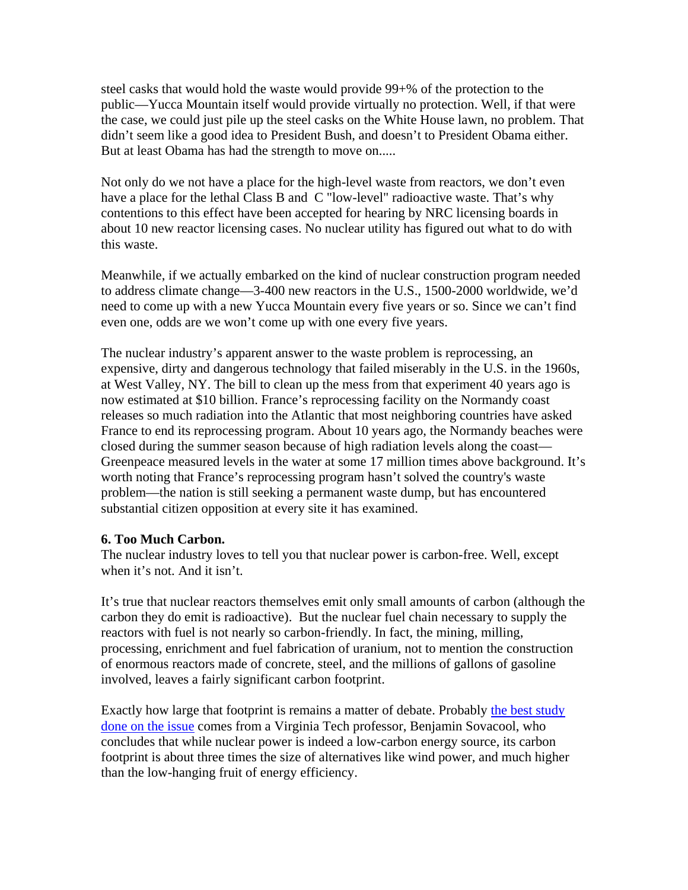steel casks that would hold the waste would provide 99+% of the protection to the public—Yucca Mountain itself would provide virtually no protection. Well, if that were the case, we could just pile up the steel casks on the White House lawn, no problem. That didn't seem like a good idea to President Bush, and doesn't to President Obama either. But at least Obama has had the strength to move on.....

Not only do we not have a place for the high-level waste from reactors, we don't even have a place for the lethal Class B and C "low-level" radioactive waste. That's why contentions to this effect have been accepted for hearing by NRC licensing boards in about 10 new reactor licensing cases. No nuclear utility has figured out what to do with this waste.

Meanwhile, if we actually embarked on the kind of nuclear construction program needed to address climate change—3-400 new reactors in the U.S., 1500-2000 worldwide, we'd need to come up with a new Yucca Mountain every five years or so. Since we can't find even one, odds are we won't come up with one every five years.

The nuclear industry's apparent answer to the waste problem is reprocessing, an expensive, dirty and dangerous technology that failed miserably in the U.S. in the 1960s, at West Valley, NY. The bill to clean up the mess from that experiment 40 years ago is now estimated at \$10 billion. France's reprocessing facility on the Normandy coast releases so much radiation into the Atlantic that most neighboring countries have asked France to end its reprocessing program. About 10 years ago, the Normandy beaches were closed during the summer season because of high radiation levels along the coast— Greenpeace measured levels in the water at some 17 million times above background. It's worth noting that France's reprocessing program hasn't solved the country's waste problem—the nation is still seeking a permanent waste dump, but has encountered substantial citizen opposition at every site it has examined.

#### **6. Too Much Carbon.**

The nuclear industry loves to tell you that nuclear power is carbon-free. Well, except when it's not. And it isn't.

It's true that nuclear reactors themselves emit only small amounts of carbon (although the carbon they do emit is radioactive). But the nuclear fuel chain necessary to supply the reactors with fuel is not nearly so carbon-friendly. In fact, the mining, milling, processing, enrichment and fuel fabrication of uranium, not to mention the construction of enormous reactors made of concrete, steel, and the millions of gallons of gasoline involved, leaves a fairly significant carbon footprint.

Exactly how large that footprint is remains a matter of debate. Probably the best study done on the issue comes from a Virginia Tech professor, Benjamin Sovacool, who concludes that while nuclear power is indeed a low-carbon energy source, its carbon footprint is about three times the size of alternatives like wind power, and much higher than the low-hanging fruit of energy efficiency.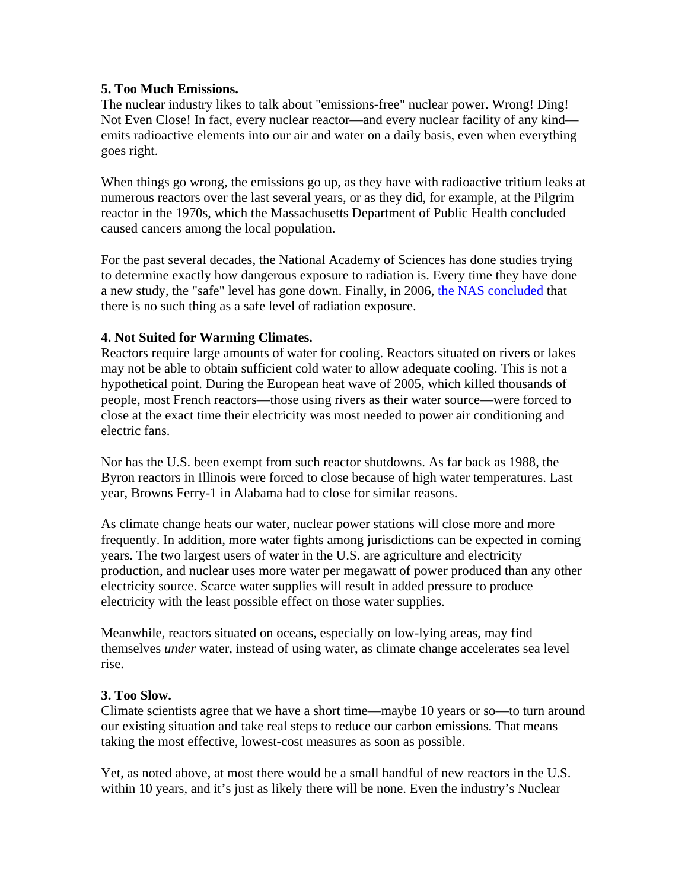## **5. Too Much Emissions.**

The nuclear industry likes to talk about "emissions-free" nuclear power. Wrong! Ding! Not Even Close! In fact, every nuclear reactor—and every nuclear facility of any kind emits radioactive elements into our air and water on a daily basis, even when everything goes right.

When things go wrong, the emissions go up, as they have with radioactive tritium leaks at numerous reactors over the last several years, or as they did, for example, at the Pilgrim reactor in the 1970s, which the Massachusetts Department of Public Health concluded caused cancers among the local population.

For the past several decades, the National Academy of Sciences has done studies trying to determine exactly how dangerous exposure to radiation is. Every time they have done a new study, the "safe" level has gone down. Finally, in 2006, the NAS concluded that there is no such thing as a safe level of radiation exposure.

## **4. Not Suited for Warming Climates.**

Reactors require large amounts of water for cooling. Reactors situated on rivers or lakes may not be able to obtain sufficient cold water to allow adequate cooling. This is not a hypothetical point. During the European heat wave of 2005, which killed thousands of people, most French reactors—those using rivers as their water source—were forced to close at the exact time their electricity was most needed to power air conditioning and electric fans.

Nor has the U.S. been exempt from such reactor shutdowns. As far back as 1988, the Byron reactors in Illinois were forced to close because of high water temperatures. Last year, Browns Ferry-1 in Alabama had to close for similar reasons.

As climate change heats our water, nuclear power stations will close more and more frequently. In addition, more water fights among jurisdictions can be expected in coming years. The two largest users of water in the U.S. are agriculture and electricity production, and nuclear uses more water per megawatt of power produced than any other electricity source. Scarce water supplies will result in added pressure to produce electricity with the least possible effect on those water supplies.

Meanwhile, reactors situated on oceans, especially on low-lying areas, may find themselves *under* water, instead of using water, as climate change accelerates sea level rise.

#### **3. Too Slow.**

Climate scientists agree that we have a short time—maybe 10 years or so—to turn around our existing situation and take real steps to reduce our carbon emissions. That means taking the most effective, lowest-cost measures as soon as possible.

Yet, as noted above, at most there would be a small handful of new reactors in the U.S. within 10 years, and it's just as likely there will be none. Even the industry's Nuclear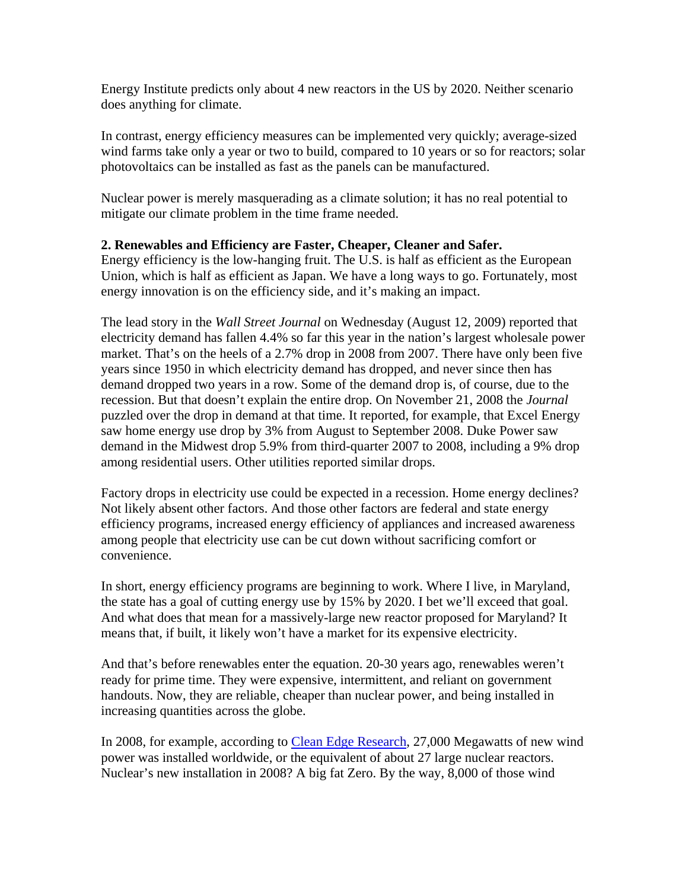Energy Institute predicts only about 4 new reactors in the US by 2020. Neither scenario does anything for climate.

In contrast, energy efficiency measures can be implemented very quickly; average-sized wind farms take only a year or two to build, compared to 10 years or so for reactors; solar photovoltaics can be installed as fast as the panels can be manufactured.

Nuclear power is merely masquerading as a climate solution; it has no real potential to mitigate our climate problem in the time frame needed.

## **2. Renewables and Efficiency are Faster, Cheaper, Cleaner and Safer.**

Energy efficiency is the low-hanging fruit. The U.S. is half as efficient as the European Union, which is half as efficient as Japan. We have a long ways to go. Fortunately, most energy innovation is on the efficiency side, and it's making an impact.

The lead story in the *Wall Street Journal* on Wednesday (August 12, 2009) reported that electricity demand has fallen 4.4% so far this year in the nation's largest wholesale power market. That's on the heels of a 2.7% drop in 2008 from 2007. There have only been five years since 1950 in which electricity demand has dropped, and never since then has demand dropped two years in a row. Some of the demand drop is, of course, due to the recession. But that doesn't explain the entire drop. On November 21, 2008 the *Journal* puzzled over the drop in demand at that time. It reported, for example, that Excel Energy saw home energy use drop by 3% from August to September 2008. Duke Power saw demand in the Midwest drop 5.9% from third-quarter 2007 to 2008, including a 9% drop among residential users. Other utilities reported similar drops.

Factory drops in electricity use could be expected in a recession. Home energy declines? Not likely absent other factors. And those other factors are federal and state energy efficiency programs, increased energy efficiency of appliances and increased awareness among people that electricity use can be cut down without sacrificing comfort or convenience.

In short, energy efficiency programs are beginning to work. Where I live, in Maryland, the state has a goal of cutting energy use by 15% by 2020. I bet we'll exceed that goal. And what does that mean for a massively-large new reactor proposed for Maryland? It means that, if built, it likely won't have a market for its expensive electricity.

And that's before renewables enter the equation. 20-30 years ago, renewables weren't ready for prime time. They were expensive, intermittent, and reliant on government handouts. Now, they are reliable, cheaper than nuclear power, and being installed in increasing quantities across the globe.

In 2008, for example, according to Clean Edge Research, 27,000 Megawatts of new wind power was installed worldwide, or the equivalent of about 27 large nuclear reactors. Nuclear's new installation in 2008? A big fat Zero. By the way, 8,000 of those wind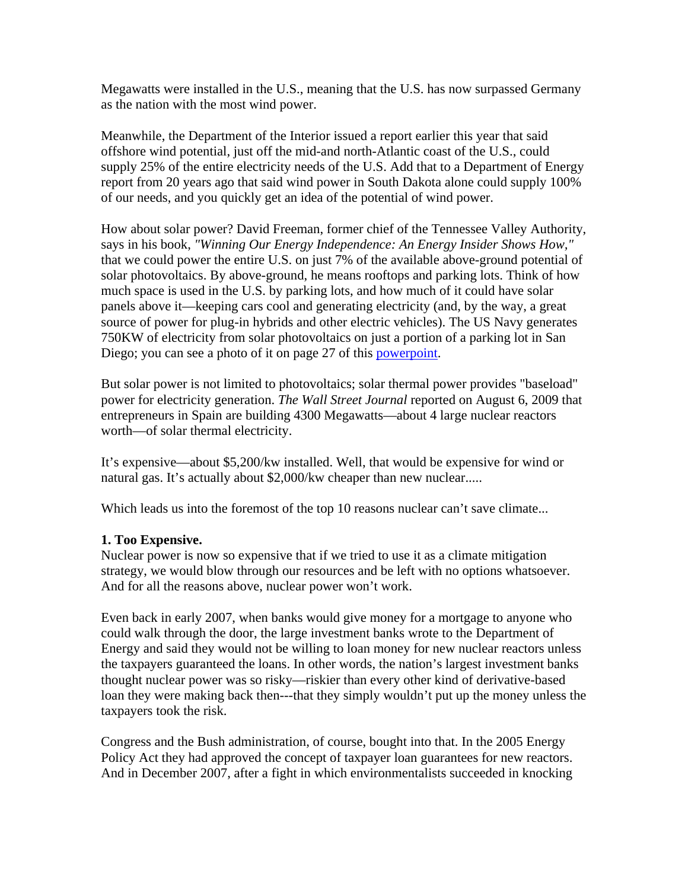Megawatts were installed in the U.S., meaning that the U.S. has now surpassed Germany as the nation with the most wind power.

Meanwhile, the Department of the Interior issued a report earlier this year that said offshore wind potential, just off the mid-and north-Atlantic coast of the U.S., could supply 25% of the entire electricity needs of the U.S. Add that to a Department of Energy report from 20 years ago that said wind power in South Dakota alone could supply 100% of our needs, and you quickly get an idea of the potential of wind power.

How about solar power? David Freeman, former chief of the Tennessee Valley Authority, says in his book, *"Winning Our Energy Independence: An Energy Insider Shows How,"* that we could power the entire U.S. on just 7% of the available above-ground potential of solar photovoltaics. By above-ground, he means rooftops and parking lots. Think of how much space is used in the U.S. by parking lots, and how much of it could have solar panels above it—keeping cars cool and generating electricity (and, by the way, a great source of power for plug-in hybrids and other electric vehicles). The US Navy generates 750KW of electricity from solar photovoltaics on just a portion of a parking lot in San Diego; you can see a photo of it on page 27 of this powerpoint.

But solar power is not limited to photovoltaics; solar thermal power provides "baseload" power for electricity generation. *The Wall Street Journal* reported on August 6, 2009 that entrepreneurs in Spain are building 4300 Megawatts—about 4 large nuclear reactors worth—of solar thermal electricity.

It's expensive—about \$5,200/kw installed. Well, that would be expensive for wind or natural gas. It's actually about \$2,000/kw cheaper than new nuclear.....

Which leads us into the foremost of the top 10 reasons nuclear can't save climate...

# **1. Too Expensive.**

Nuclear power is now so expensive that if we tried to use it as a climate mitigation strategy, we would blow through our resources and be left with no options whatsoever. And for all the reasons above, nuclear power won't work.

Even back in early 2007, when banks would give money for a mortgage to anyone who could walk through the door, the large investment banks wrote to the Department of Energy and said they would not be willing to loan money for new nuclear reactors unless the taxpayers guaranteed the loans. In other words, the nation's largest investment banks thought nuclear power was so risky—riskier than every other kind of derivative-based loan they were making back then---that they simply wouldn't put up the money unless the taxpayers took the risk.

Congress and the Bush administration, of course, bought into that. In the 2005 Energy Policy Act they had approved the concept of taxpayer loan guarantees for new reactors. And in December 2007, after a fight in which environmentalists succeeded in knocking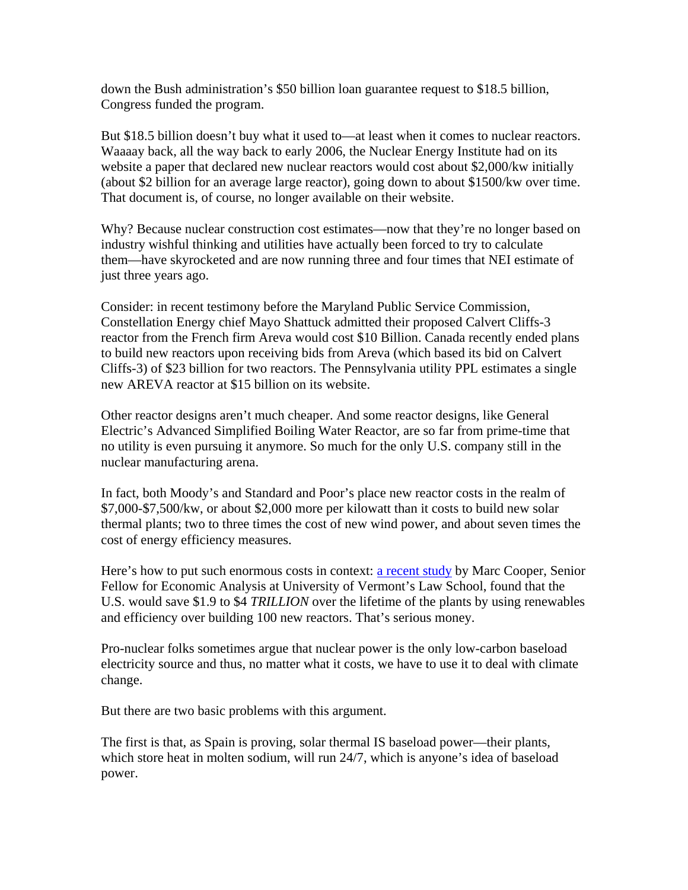down the Bush administration's \$50 billion loan guarantee request to \$18.5 billion, Congress funded the program.

But \$18.5 billion doesn't buy what it used to—at least when it comes to nuclear reactors. Waaaay back, all the way back to early 2006, the Nuclear Energy Institute had on its website a paper that declared new nuclear reactors would cost about \$2,000/kw initially (about \$2 billion for an average large reactor), going down to about \$1500/kw over time. That document is, of course, no longer available on their website.

Why? Because nuclear construction cost estimates—now that they're no longer based on industry wishful thinking and utilities have actually been forced to try to calculate them—have skyrocketed and are now running three and four times that NEI estimate of just three years ago.

Consider: in recent testimony before the Maryland Public Service Commission, Constellation Energy chief Mayo Shattuck admitted their proposed Calvert Cliffs-3 reactor from the French firm Areva would cost \$10 Billion. Canada recently ended plans to build new reactors upon receiving bids from Areva (which based its bid on Calvert Cliffs-3) of \$23 billion for two reactors. The Pennsylvania utility PPL estimates a single new AREVA reactor at \$15 billion on its website.

Other reactor designs aren't much cheaper. And some reactor designs, like General Electric's Advanced Simplified Boiling Water Reactor, are so far from prime-time that no utility is even pursuing it anymore. So much for the only U.S. company still in the nuclear manufacturing arena.

In fact, both Moody's and Standard and Poor's place new reactor costs in the realm of \$7,000-\$7,500/kw, or about \$2,000 more per kilowatt than it costs to build new solar thermal plants; two to three times the cost of new wind power, and about seven times the cost of energy efficiency measures.

Here's how to put such enormous costs in context: a recent study by Marc Cooper, Senior Fellow for Economic Analysis at University of Vermont's Law School, found that the U.S. would save \$1.9 to \$4 *TRILLION* over the lifetime of the plants by using renewables and efficiency over building 100 new reactors. That's serious money.

Pro-nuclear folks sometimes argue that nuclear power is the only low-carbon baseload electricity source and thus, no matter what it costs, we have to use it to deal with climate change.

But there are two basic problems with this argument.

The first is that, as Spain is proving, solar thermal IS baseload power—their plants, which store heat in molten sodium, will run 24/7, which is anyone's idea of baseload power.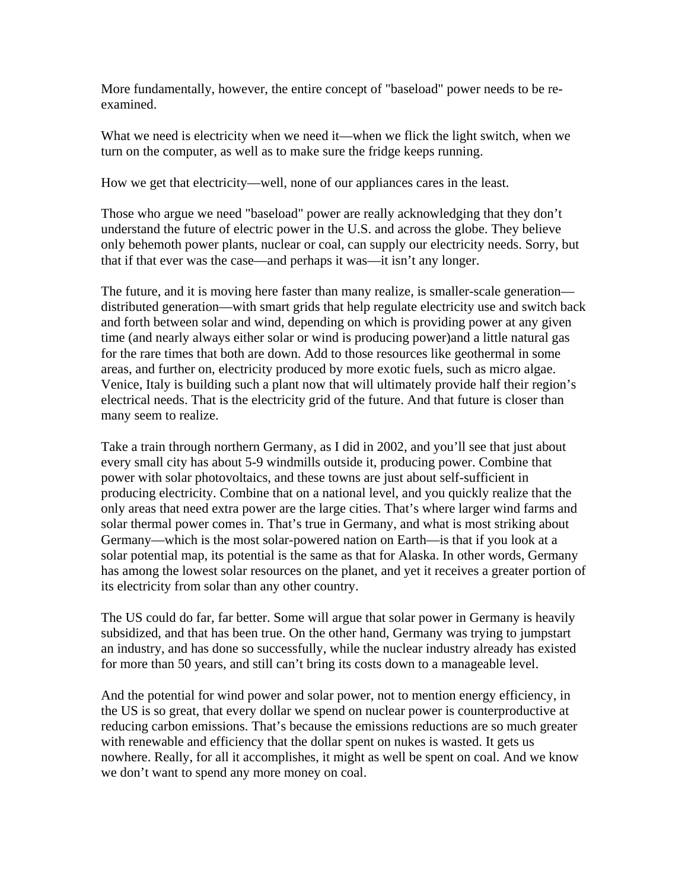More fundamentally, however, the entire concept of "baseload" power needs to be reexamined.

What we need is electricity when we need it—when we flick the light switch, when we turn on the computer, as well as to make sure the fridge keeps running.

How we get that electricity—well, none of our appliances cares in the least.

Those who argue we need "baseload" power are really acknowledging that they don't understand the future of electric power in the U.S. and across the globe. They believe only behemoth power plants, nuclear or coal, can supply our electricity needs. Sorry, but that if that ever was the case—and perhaps it was—it isn't any longer.

The future, and it is moving here faster than many realize, is smaller-scale generation distributed generation—with smart grids that help regulate electricity use and switch back and forth between solar and wind, depending on which is providing power at any given time (and nearly always either solar or wind is producing power)and a little natural gas for the rare times that both are down. Add to those resources like geothermal in some areas, and further on, electricity produced by more exotic fuels, such as micro algae. Venice, Italy is building such a plant now that will ultimately provide half their region's electrical needs. That is the electricity grid of the future. And that future is closer than many seem to realize.

Take a train through northern Germany, as I did in 2002, and you'll see that just about every small city has about 5-9 windmills outside it, producing power. Combine that power with solar photovoltaics, and these towns are just about self-sufficient in producing electricity. Combine that on a national level, and you quickly realize that the only areas that need extra power are the large cities. That's where larger wind farms and solar thermal power comes in. That's true in Germany, and what is most striking about Germany—which is the most solar-powered nation on Earth—is that if you look at a solar potential map, its potential is the same as that for Alaska. In other words, Germany has among the lowest solar resources on the planet, and yet it receives a greater portion of its electricity from solar than any other country.

The US could do far, far better. Some will argue that solar power in Germany is heavily subsidized, and that has been true. On the other hand, Germany was trying to jumpstart an industry, and has done so successfully, while the nuclear industry already has existed for more than 50 years, and still can't bring its costs down to a manageable level.

And the potential for wind power and solar power, not to mention energy efficiency, in the US is so great, that every dollar we spend on nuclear power is counterproductive at reducing carbon emissions. That's because the emissions reductions are so much greater with renewable and efficiency that the dollar spent on nukes is wasted. It gets us nowhere. Really, for all it accomplishes, it might as well be spent on coal. And we know we don't want to spend any more money on coal.